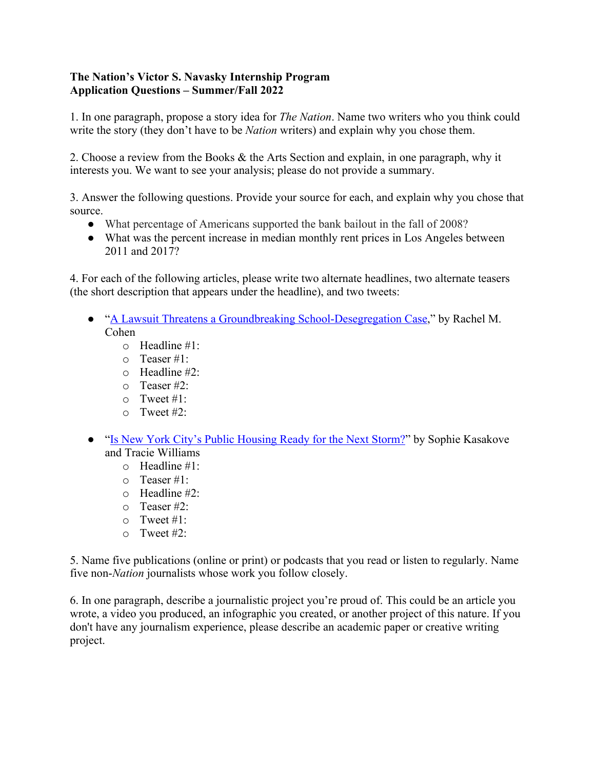## **The Nation's Victor S. Navasky Internship Program Application Questions – Summer/Fall 2022**

1. In one paragraph, propose a story idea for *The Nation*. Name two writers who you think could write the story (they don't have to be *Nation* writers) and explain why you chose them.

2. Choose a review from the Books & the Arts Section and explain, in one paragraph, why it interests you. We want to see your analysis; please do not provide a summary.

3. Answer the following questions. Provide your source for each, and explain why you chose that source.

- What percentage of Americans supported the bank bailout in the fall of 2008?
- What was the percent increase in median monthly rent prices in Los Angeles between 2011 and 2017?

4. For each of the following articles, please write two alternate headlines, two alternate teasers (the short description that appears under the headline), and two tweets:

- "A Lawsuit Threatens a Groundbreaking School-Desegregation Case," by Rachel M. Cohen
	- o Headline #1:
	- o Teaser #1:
	- o Headline #2:
	- o Teaser #2:
	- $\circ$  Tweet #1:
	- o Tweet #2:
- "Is New York City's Public Housing Ready for the Next Storm?" by Sophie Kasakove and Tracie Williams
	- o Headline #1:
	- o Teaser #1:
	- o Headline #2:
	- o Teaser #2:
	- o Tweet #1:
	- o Tweet #2:

5. Name five publications (online or print) or podcasts that you read or listen to regularly. Name five non-*Nation* journalists whose work you follow closely.

6. In one paragraph, describe a journalistic project you're proud of. This could be an article you wrote, a video you produced, an infographic you created, or another project of this nature. If you don't have any journalism experience, please describe an academic paper or creative writing project.